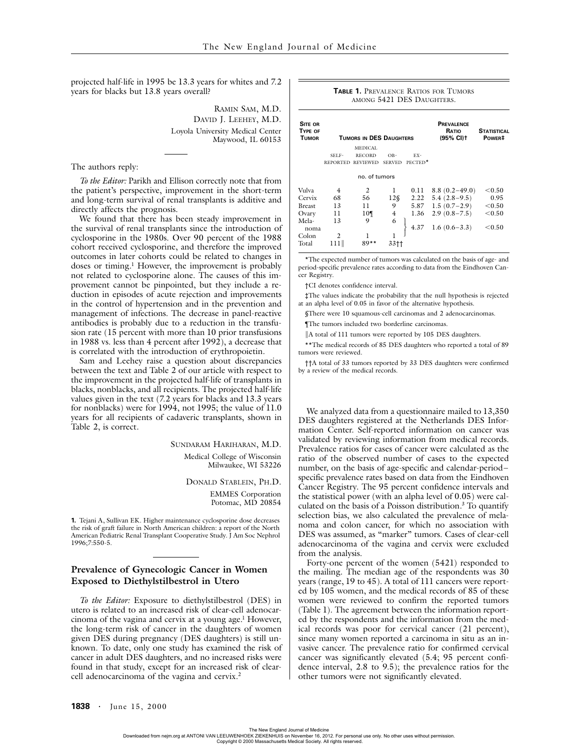projected half-life in 1995 be 13.3 years for whites and 7.2 years for blacks but 13.8 years overall?

> RAMIN SAM, M.D. DAVID J. LEEHEY, M.D. Loyola University Medical Center Maywood, IL 60153

The authors reply:

*To the Editor:* Parikh and Ellison correctly note that from the patient's perspective, improvement in the short-term and long-term survival of renal transplants is additive and directly affects the prognosis.

We found that there has been steady improvement in the survival of renal transplants since the introduction of cyclosporine in the 1980s. Over 90 percent of the 1988 cohort received cyclosporine, and therefore the improved outcomes in later cohorts could be related to changes in doses or timing.<sup>1</sup> However, the improvement is probably not related to cyclosporine alone. The causes of this improvement cannot be pinpointed, but they include a reduction in episodes of acute rejection and improvements in the control of hypertension and in the prevention and management of infections. The decrease in panel-reactive antibodies is probably due to a reduction in the transfusion rate (15 percent with more than 10 prior transfusions in 1988 vs. less than 4 percent after 1992), a decrease that is correlated with the introduction of erythropoietin.

Sam and Leehey raise a question about discrepancies between the text and Table 2 of our article with respect to the improvement in the projected half-life of transplants in blacks, nonblacks, and all recipients. The projected half-life values given in the text (7.2 years for blacks and 13.3 years for nonblacks) were for 1994, not 1995; the value of 11.0 years for all recipients of cadaveric transplants, shown in Table 2, is correct.

> SUNDARAM HARIHARAN, M.D. Medical College of Wisconsin Milwaukee, WI 53226

> > DONALD STABLEIN, PH.D. EMMES Corporation Potomac, MD 20854

**1.** Tejani A, Sullivan EK. Higher maintenance cyclosporine dose decreases the risk of graft failure in North American children: a report of the North American Pediatric Renal Transplant Cooperative Study. J Am Soc Nephrol 1996;7:550-5.

## **Prevalence of Gynecologic Cancer in Women Exposed to Diethylstilbestrol in Utero**

*To the Editor:* Exposure to diethylstilbestrol (DES) in utero is related to an increased risk of clear-cell adenocarcinoma of the vagina and cervix at a young age.<sup>1</sup> However, the long-term risk of cancer in the daughters of women given DES during pregnancy (DES daughters) is still unknown. To date, only one study has examined the risk of cancer in adult DES daughters, and no increased risks were found in that study, except for an increased risk of clearcell adenocarcinoma of the vagina and cervix.<sup>2</sup>

## **TABLE 1.** PREVALENCE RATIOS FOR TUMORS AMONG 5421 DES DAUGHTERS.

| SITE OR<br>TYPE OF<br><b>TUMOR</b> | TUMORS IN DES DAUGHTERS |                 |                |         | <b>PREVALENCE</b><br>RATIO<br>(95% CI) t | <b>STATISTICAL</b><br>POWER <sup>#</sup> |
|------------------------------------|-------------------------|-----------------|----------------|---------|------------------------------------------|------------------------------------------|
|                                    |                         | MEDICAL         |                |         |                                          |                                          |
|                                    | SELF-                   | <b>RECORD</b>   | OB-            | EX-     |                                          |                                          |
|                                    | <b>REPORTED</b>         | <b>REVIEWED</b> | <b>SERVED</b>  | PECTED* |                                          |                                          |
|                                    | no. of tumors           |                 |                |         |                                          |                                          |
| Vulva                              | 4                       | 2               | 1              | 0.11    | $8.8(0.2 - 49.0)$                        | < 0.50                                   |
| Cervix                             | 68                      | 56              | $12\mathrm{S}$ | 2.22    | $5.4(2.8-9.5)$                           | 0.95                                     |
| <b>Breast</b>                      | 13                      | 11              | 9              |         | $5.87$ 1.5 $(0.7-2.9)$                   | < 0.50                                   |
| Ovary                              | 11                      | 10 <sub>1</sub> | 4              | 1.36    | $2.9(0.8-7.5)$                           | < 0.50                                   |
| Mela-                              | 13                      | 9               | 6              |         |                                          |                                          |
| noma                               |                         |                 |                | 4.37    | $1.6(0.6-3.3)$                           | < 0.50                                   |
| Colon                              | 2                       |                 |                |         |                                          |                                          |
| Total                              | 111                     | 89**            | 33††           |         |                                          |                                          |

\*The expected number of tumors was calculated on the basis of age- and period-specific prevalence rates according to data from the Eindhoven Cancer Registry.

†CI denotes confidence interval.

‡The values indicate the probability that the null hypothesis is rejected at an alpha level of 0.05 in favor of the alternative hypothesis.

§There were 10 squamous-cell carcinomas and 2 adenocarcinomas.

¶The tumors included two borderline carcinomas.

||A total of 111 tumors were reported by 105 DES daughters.

\*\*The medical records of 85 DES daughters who reported a total of 89 tumors were reviewed.

††A total of 33 tumors reported by 33 DES daughters were confirmed by a review of the medical records.

We analyzed data from a questionnaire mailed to 13,350 DES daughters registered at the Netherlands DES Information Center. Self-reported information on cancer was validated by reviewing information from medical records. Prevalence ratios for cases of cancer were calculated as the ratio of the observed number of cases to the expected number, on the basis of age-specific and calendar-period– specific prevalence rates based on data from the Eindhoven Cancer Registry. The 95 percent confidence intervals and the statistical power (with an alpha level of 0.05) were calculated on the basis of a Poisson distribution.<sup>3</sup> To quantify selection bias, we also calculated the prevalence of melanoma and colon cancer, for which no association with DES was assumed, as "marker" tumors. Cases of clear-cell adenocarcinoma of the vagina and cervix were excluded from the analysis.

Forty-one percent of the women (5421) responded to the mailing. The median age of the respondents was 30 years (range, 19 to 45). A total of 111 cancers were reported by 105 women, and the medical records of 85 of these women were reviewed to confirm the reported tumors (Table 1). The agreement between the information reported by the respondents and the information from the medical records was poor for cervical cancer (21 percent), since many women reported a carcinoma in situ as an invasive cancer. The prevalence ratio for confirmed cervical cancer was significantly elevated (5.4; 95 percent confidence interval, 2.8 to 9.5); the prevalence ratios for the other tumors were not significantly elevated.

The New England Journal of Medicine<br>Downloaded from nejm.org at ANTONI VAN LEEUWENHOEK ZIEKENHUIS on November 16, 2012. For personal use only. No other uses without permission. Copyright © 2000 Massachusetts Medical Society. All rights reserved.